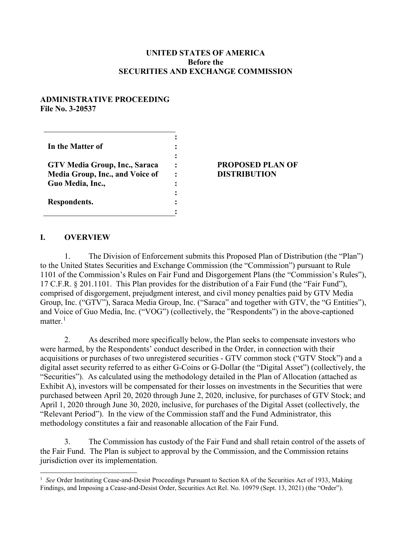#### **UNITED STATES OF AMERICA Before the SECURITIES AND EXCHANGE COMMISSION**

#### **ADMINISTRATIVE PROCEEDING File No. 3-20537**

| In the Matter of                                                                            |  |
|---------------------------------------------------------------------------------------------|--|
| GTV Media Group, Inc., Saraca<br><b>Media Group, Inc., and Voice of</b><br>Guo Media, Inc., |  |
| Respondents.                                                                                |  |

#### **PROPOSED PLAN OF DISTRIBUTION**

### **I. OVERVIEW**

1. The Division of Enforcement submits this Proposed Plan of Distribution (the "Plan") to the United States Securities and Exchange Commission (the "Commission") pursuant to Rule 1101 of the Commission's Rules on Fair Fund and Disgorgement Plans (the "Commission's Rules"), 17 C.F.R. § 201.1101. This Plan provides for the distribution of a Fair Fund (the "Fair Fund"), comprised of disgorgement, prejudgment interest, and civil money penalties paid by GTV Media Group, Inc. ("GTV"), Saraca Media Group, Inc. ("Saraca" and together with GTV, the "G Entities"), and Voice of Guo Media, Inc. ("VOG") (collectively, the "Respondents") in the above-captioned matter. $^1$  $^1$ 

2. As described more specifically below, the Plan seeks to compensate investors who were harmed, by the Respondents' conduct described in the Order, in connection with their acquisitions or purchases of two unregistered securities - GTV common stock ("GTV Stock") and a digital asset security referred to as either G-Coins or G-Dollar (the "Digital Asset") (collectively, the "Securities"). As calculated using the methodology detailed in the Plan of Allocation (attached as Exhibit A), investors will be compensated for their losses on investments in the Securities that were purchased between April 20, 2020 through June 2, 2020, inclusive, for purchases of GTV Stock; and April 1, 2020 through June 30, 2020, inclusive, for purchases of the Digital Asset (collectively, the "Relevant Period"). In the view of the Commission staff and the Fund Administrator, this methodology constitutes a fair and reasonable allocation of the Fair Fund.

3. The Commission has custody of the Fair Fund and shall retain control of the assets of the Fair Fund. The Plan is subject to approval by the Commission, and the Commission retains jurisdiction over its implementation.

<span id="page-0-0"></span> $\frac{1}{1}$ <sup>1</sup> See Order Instituting Cease-and-Desist Proceedings Pursuant to Section 8A of the Securities Act of 1933, Making Findings, and Imposing a Cease-and-Desist Order, Securities Act Rel. No. 10979 (Sept. 13, 2021) (the "Order").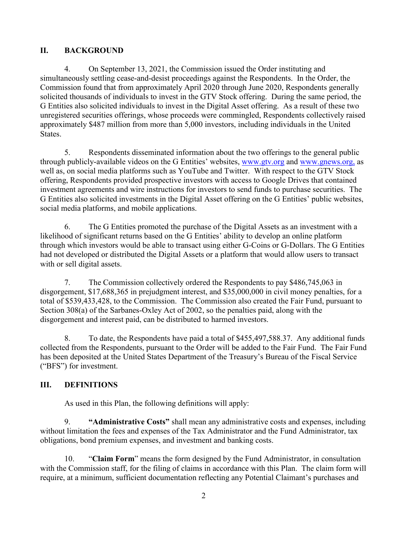## **II. BACKGROUND**

4. On September 13, 2021, the Commission issued the Order instituting and simultaneously settling cease-and-desist proceedings against the Respondents. In the Order, the Commission found that from approximately April 2020 through June 2020, Respondents generally solicited thousands of individuals to invest in the GTV Stock offering. During the same period, the G Entities also solicited individuals to invest in the Digital Asset offering. As a result of these two unregistered securities offerings, whose proceeds were commingled, Respondents collectively raised approximately \$487 million from more than 5,000 investors, including individuals in the United States.

5. Respondents disseminated information about the two offerings to the general public through publicly-available videos on the G Entities' websites, [www.gtv.org](http://www.gtv.org/) and [www.gnews.org,](http://www.gnews.org/) as well as, on social media platforms such as YouTube and Twitter. With respect to the GTV Stock offering, Respondents provided prospective investors with access to Google Drives that contained investment agreements and wire instructions for investors to send funds to purchase securities. The G Entities also solicited investments in the Digital Asset offering on the G Entities' public websites, social media platforms, and mobile applications.

6. The G Entities promoted the purchase of the Digital Assets as an investment with a likelihood of significant returns based on the G Entities' ability to develop an online platform through which investors would be able to transact using either G-Coins or G-Dollars. The G Entities had not developed or distributed the Digital Assets or a platform that would allow users to transact with or sell digital assets.

7. The Commission collectively ordered the Respondents to pay \$486,745,063 in disgorgement, \$17,688,365 in prejudgment interest, and \$35,000,000 in civil money penalties, for a total of \$539,433,428, to the Commission. The Commission also created the Fair Fund, pursuant to Section 308(a) of the Sarbanes-Oxley Act of 2002, so the penalties paid, along with the disgorgement and interest paid, can be distributed to harmed investors.

8. To date, the Respondents have paid a total of \$455,497,588.37. Any additional funds collected from the Respondents, pursuant to the Order will be added to the Fair Fund. The Fair Fund has been deposited at the United States Department of the Treasury's Bureau of the Fiscal Service ("BFS") for investment.

# **III. DEFINITIONS**

As used in this Plan, the following definitions will apply:

9. **"Administrative Costs"** shall mean any administrative costs and expenses, including without limitation the fees and expenses of the Tax Administrator and the Fund Administrator, tax obligations, bond premium expenses, and investment and banking costs.

10. "**Claim Form**" means the form designed by the Fund Administrator, in consultation with the Commission staff, for the filing of claims in accordance with this Plan. The claim form will require, at a minimum, sufficient documentation reflecting any Potential Claimant's purchases and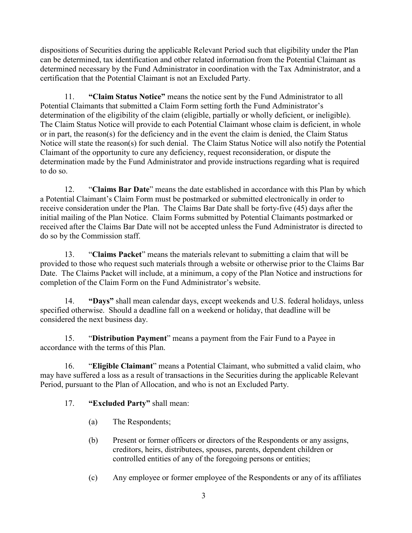dispositions of Securities during the applicable Relevant Period such that eligibility under the Plan can be determined, tax identification and other related information from the Potential Claimant as determined necessary by the Fund Administrator in coordination with the Tax Administrator, and a certification that the Potential Claimant is not an Excluded Party.

11. **"Claim Status Notice"** means the notice sent by the Fund Administrator to all Potential Claimants that submitted a Claim Form setting forth the Fund Administrator's determination of the eligibility of the claim (eligible, partially or wholly deficient, or ineligible). The Claim Status Notice will provide to each Potential Claimant whose claim is deficient, in whole or in part, the reason(s) for the deficiency and in the event the claim is denied, the Claim Status Notice will state the reason(s) for such denial. The Claim Status Notice will also notify the Potential Claimant of the opportunity to cure any deficiency, request reconsideration, or dispute the determination made by the Fund Administrator and provide instructions regarding what is required to do so.

12. "**Claims Bar Date**" means the date established in accordance with this Plan by which a Potential Claimant's Claim Form must be postmarked or submitted electronically in order to receive consideration under the Plan. The Claims Bar Date shall be forty-five (45) days after the initial mailing of the Plan Notice. Claim Forms submitted by Potential Claimants postmarked or received after the Claims Bar Date will not be accepted unless the Fund Administrator is directed to do so by the Commission staff.

13. "**Claims Packet**" means the materials relevant to submitting a claim that will be provided to those who request such materials through a website or otherwise prior to the Claims Bar Date. The Claims Packet will include, at a minimum, a copy of the Plan Notice and instructions for completion of the Claim Form on the Fund Administrator's website.

14. **"Days"** shall mean calendar days, except weekends and U.S. federal holidays, unless specified otherwise. Should a deadline fall on a weekend or holiday, that deadline will be considered the next business day.

15. "**Distribution Payment**" means a payment from the Fair Fund to a Payee in accordance with the terms of this Plan.

16. "**Eligible Claimant**" means a Potential Claimant, who submitted a valid claim, who may have suffered a loss as a result of transactions in the Securities during the applicable Relevant Period, pursuant to the Plan of Allocation, and who is not an Excluded Party.

# 17. **"Excluded Party"** shall mean:

- (a) The Respondents;
- (b) Present or former officers or directors of the Respondents or any assigns, creditors, heirs, distributees, spouses, parents, dependent children or controlled entities of any of the foregoing persons or entities;
- (c) Any employee or former employee of the Respondents or any of its affiliates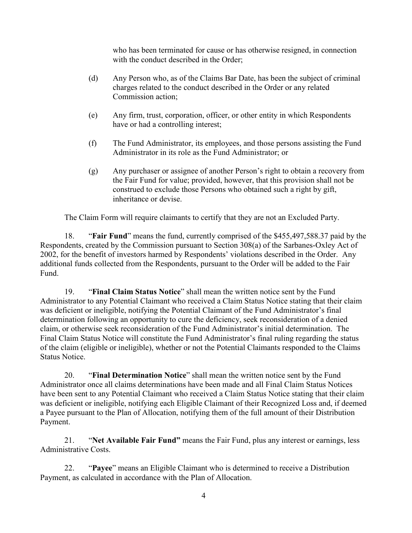who has been terminated for cause or has otherwise resigned, in connection with the conduct described in the Order;

- (d) Any Person who, as of the Claims Bar Date, has been the subject of criminal charges related to the conduct described in the Order or any related Commission action;
- (e) Any firm, trust, corporation, officer, or other entity in which Respondents have or had a controlling interest;
- (f) The Fund Administrator, its employees, and those persons assisting the Fund Administrator in its role as the Fund Administrator; or
- (g) Any purchaser or assignee of another Person's right to obtain a recovery from the Fair Fund for value; provided, however, that this provision shall not be construed to exclude those Persons who obtained such a right by gift, inheritance or devise.

The Claim Form will require claimants to certify that they are not an Excluded Party.

18. "**Fair Fund**" means the fund, currently comprised of the \$455,497,588.37 paid by the Respondents, created by the Commission pursuant to Section 308(a) of the Sarbanes-Oxley Act of 2002, for the benefit of investors harmed by Respondents' violations described in the Order. Any additional funds collected from the Respondents, pursuant to the Order will be added to the Fair Fund.

19. "**Final Claim Status Notice**" shall mean the written notice sent by the Fund Administrator to any Potential Claimant who received a Claim Status Notice stating that their claim was deficient or ineligible, notifying the Potential Claimant of the Fund Administrator's final determination following an opportunity to cure the deficiency, seek reconsideration of a denied claim, or otherwise seek reconsideration of the Fund Administrator's initial determination. The Final Claim Status Notice will constitute the Fund Administrator's final ruling regarding the status of the claim (eligible or ineligible), whether or not the Potential Claimants responded to the Claims Status Notice.

20. "**Final Determination Notice**" shall mean the written notice sent by the Fund Administrator once all claims determinations have been made and all Final Claim Status Notices have been sent to any Potential Claimant who received a Claim Status Notice stating that their claim was deficient or ineligible, notifying each Eligible Claimant of their Recognized Loss and, if deemed a Payee pursuant to the Plan of Allocation, notifying them of the full amount of their Distribution Payment.

21. "**Net Available Fair Fund"** means the Fair Fund, plus any interest or earnings, less Administrative Costs.

22. "**Payee**" means an Eligible Claimant who is determined to receive a Distribution Payment, as calculated in accordance with the Plan of Allocation.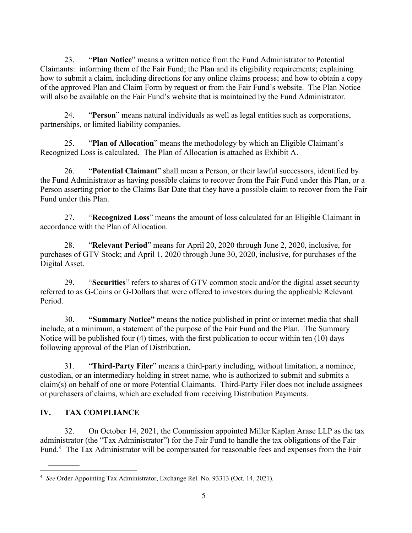23. "**Plan Notice**" means a written notice from the Fund Administrator to Potential Claimants: informing them of the Fair Fund; the Plan and its eligibility requirements; explaining how to submit a claim, including directions for any online claims process; and how to obtain a copy of the approved Plan and Claim Form by request or from the Fair Fund's website. The Plan Notice will also be available on the Fair Fund's website that is maintained by the Fund Administrator.

24. "**Person**" means natural individuals as well as legal entities such as corporations, partnerships, or limited liability companies.

25. "**Plan of Allocation**" means the methodology by which an Eligible Claimant's Recognized Loss is calculated. The Plan of Allocation is attached as Exhibit A.

26. "**Potential Claimant**" shall mean a Person, or their lawful successors, identified by the Fund Administrator as having possible claims to recover from the Fair Fund under this Plan, or a Person asserting prior to the Claims Bar Date that they have a possible claim to recover from the Fair Fund under this Plan.

27. "**Recognized Loss**" means the amount of loss calculated for an Eligible Claimant in accordance with the Plan of Allocation.

28. "**Relevant Period**" means for April 20, 2020 through June 2, 2020, inclusive, for purchases of GTV Stock; and April 1, 2020 through June 30, 2020, inclusive, for purchases of the Digital Asset.

29. "**Securities**" refers to shares of GTV common stock and/or the digital asset security referred to as G-Coins or G-Dollars that were offered to investors during the applicable Relevant Period.

30. **"Summary Notice"** means the notice published in print or internet media that shall include, at a minimum, a statement of the purpose of the Fair Fund and the Plan. The Summary Notice will be published four (4) times, with the first publication to occur within ten (10) days following approval of the Plan of Distribution.

31. "**Third-Party Filer**" means a third-party including, without limitation, a nominee, custodian, or an intermediary holding in street name, who is authorized to submit and submits a claim(s) on behalf of one or more Potential Claimants. Third-Party Filer does not include assignees or purchasers of claims, which are excluded from receiving Distribution Payments.

# **IV. TAX COMPLIANCE**

32. On October 14, 2021, the Commission appointed Miller Kaplan Arase LLP as the tax administrator (the "Tax Administrator") for the Fair Fund to handle the tax obligations of the Fair Fund.<sup>[4](#page-4-0)</sup> The Tax Administrator will be compensated for reasonable fees and expenses from the Fair

<span id="page-4-0"></span> $\frac{1}{4}$ *See* Order Appointing Tax Administrator, Exchange Rel. No. 93313 (Oct. 14, 2021).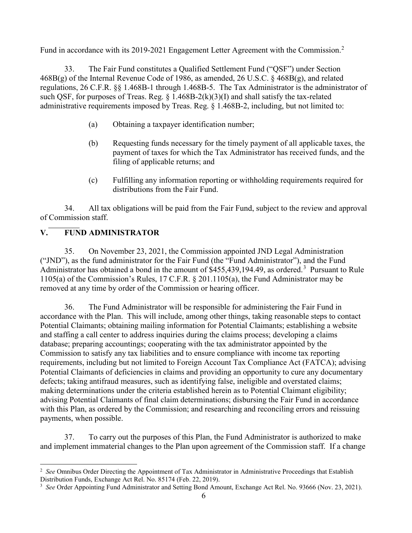Fund in accordance with its [2](#page-5-0)019-2021 Engagement Letter Agreement with the Commission.<sup>2</sup>

33. The Fair Fund constitutes a Qualified Settlement Fund ("QSF") under Section 468B(g) of the Internal Revenue Code of 1986, as amended, 26 U.S.C. § 468B(g), and related regulations, 26 C.F.R. §§ 1.468B-1 through 1.468B-5. The Tax Administrator is the administrator of such QSF, for purposes of Treas. Reg.  $\S$  1.468B-2(k)(3)(I) and shall satisfy the tax-related administrative requirements imposed by Treas. Reg. § 1.468B-2, including, but not limited to:

- (a) Obtaining a taxpayer identification number;
- (b) Requesting funds necessary for the timely payment of all applicable taxes, the payment of taxes for which the Tax Administrator has received funds, and the filing of applicable returns; and
- (c) Fulfilling any information reporting or withholding requirements required for distributions from the Fair Fund.

34. All tax obligations will be paid from the Fair Fund, subject to the review and approval of Commission staff.

# **V. FUND ADMINISTRATOR**

35. On November 23, 2021, the Commission appointed JND Legal Administration ("JND"), as the fund administrator for the Fair Fund (the "Fund Administrator"), and the Fund Administrator has obtained a bond in the amount of  $$455,439,194.49$  $$455,439,194.49$  $$455,439,194.49$ , as ordered.<sup>3</sup> Pursuant to Rule 1105(a) of the Commission's Rules, 17 C.F.R. § 201.1105(a), the Fund Administrator may be removed at any time by order of the Commission or hearing officer.

36. The Fund Administrator will be responsible for administering the Fair Fund in accordance with the Plan. This will include, among other things, taking reasonable steps to contact Potential Claimants; obtaining mailing information for Potential Claimants; establishing a website and staffing a call center to address inquiries during the claims process; developing a claims database; preparing accountings; cooperating with the tax administrator appointed by the Commission to satisfy any tax liabilities and to ensure compliance with income tax reporting requirements, including but not limited to Foreign Account Tax Compliance Act (FATCA); advising Potential Claimants of deficiencies in claims and providing an opportunity to cure any documentary defects; taking antifraud measures, such as identifying false, ineligible and overstated claims; making determinations under the criteria established herein as to Potential Claimant eligibility; advising Potential Claimants of final claim determinations; disbursing the Fair Fund in accordance with this Plan, as ordered by the Commission; and researching and reconciling errors and reissuing payments, when possible.

37. To carry out the purposes of this Plan, the Fund Administrator is authorized to make and implement immaterial changes to the Plan upon agreement of the Commission staff. If a change

<span id="page-5-0"></span> $\frac{1}{2}$ <sup>2</sup> See Omnibus Order Directing the Appointment of Tax Administrator in Administrative Proceedings that Establish Distribution Funds, Exchange Act Rel. No. 85174 (Feb. 22, 2019).

<span id="page-5-1"></span><sup>&</sup>lt;sup>3</sup> See Order Appointing Fund Administrator and Setting Bond Amount, Exchange Act Rel. No. 93666 (Nov. 23, 2021).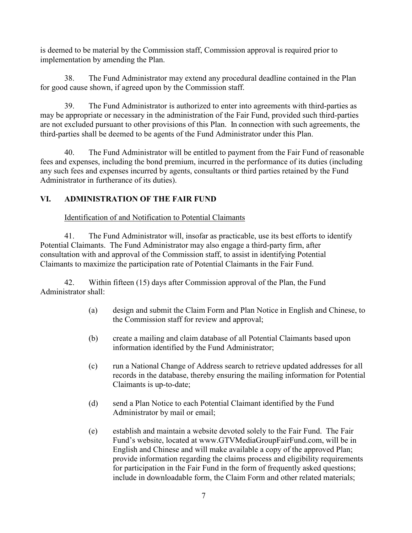is deemed to be material by the Commission staff, Commission approval is required prior to implementation by amending the Plan.

38. The Fund Administrator may extend any procedural deadline contained in the Plan for good cause shown, if agreed upon by the Commission staff.

39. The Fund Administrator is authorized to enter into agreements with third-parties as may be appropriate or necessary in the administration of the Fair Fund, provided such third-parties are not excluded pursuant to other provisions of this Plan. In connection with such agreements, the third-parties shall be deemed to be agents of the Fund Administrator under this Plan.

40. The Fund Administrator will be entitled to payment from the Fair Fund of reasonable fees and expenses, including the bond premium, incurred in the performance of its duties (including any such fees and expenses incurred by agents, consultants or third parties retained by the Fund Administrator in furtherance of its duties).

# **VI. ADMINISTRATION OF THE FAIR FUND**

Identification of and Notification to Potential Claimants

41. The Fund Administrator will, insofar as practicable, use its best efforts to identify Potential Claimants. The Fund Administrator may also engage a third-party firm, after consultation with and approval of the Commission staff, to assist in identifying Potential Claimants to maximize the participation rate of Potential Claimants in the Fair Fund.

42. Within fifteen (15) days after Commission approval of the Plan, the Fund Administrator shall:

- (a) design and submit the Claim Form and Plan Notice in English and Chinese, to the Commission staff for review and approval;
- (b) create a mailing and claim database of all Potential Claimants based upon information identified by the Fund Administrator;
- (c) run a National Change of Address search to retrieve updated addresses for all records in the database, thereby ensuring the mailing information for Potential Claimants is up-to-date;
- (d) send a Plan Notice to each Potential Claimant identified by the Fund Administrator by mail or email;
- (e) establish and maintain a website devoted solely to the Fair Fund. The Fair Fund's website, located at www.GTVMediaGroupFairFund.com, will be in English and Chinese and will make available a copy of the approved Plan; provide information regarding the claims process and eligibility requirements for participation in the Fair Fund in the form of frequently asked questions; include in downloadable form, the Claim Form and other related materials;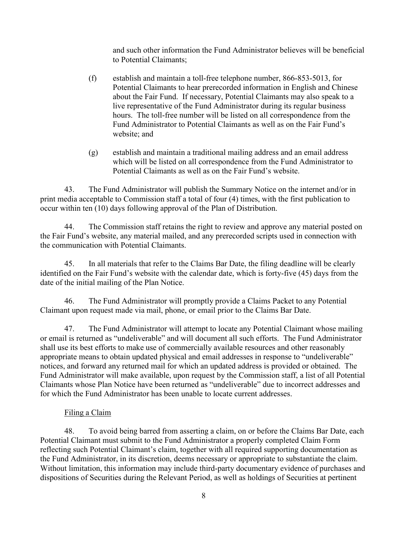and such other information the Fund Administrator believes will be beneficial to Potential Claimants;

- (f) establish and maintain a toll-free telephone number, 866-853-5013, for Potential Claimants to hear prerecorded information in English and Chinese about the Fair Fund. If necessary, Potential Claimants may also speak to a live representative of the Fund Administrator during its regular business hours. The toll-free number will be listed on all correspondence from the Fund Administrator to Potential Claimants as well as on the Fair Fund's website; and
- (g) establish and maintain a traditional mailing address and an email address which will be listed on all correspondence from the Fund Administrator to Potential Claimants as well as on the Fair Fund's website.

43. The Fund Administrator will publish the Summary Notice on the internet and/or in print media acceptable to Commission staff a total of four (4) times, with the first publication to occur within ten (10) days following approval of the Plan of Distribution.

44. The Commission staff retains the right to review and approve any material posted on the Fair Fund's website, any material mailed, and any prerecorded scripts used in connection with the communication with Potential Claimants.

45. In all materials that refer to the Claims Bar Date, the filing deadline will be clearly identified on the Fair Fund's website with the calendar date, which is forty-five (45) days from the date of the initial mailing of the Plan Notice.

46. The Fund Administrator will promptly provide a Claims Packet to any Potential Claimant upon request made via mail, phone, or email prior to the Claims Bar Date.

47. The Fund Administrator will attempt to locate any Potential Claimant whose mailing or email is returned as "undeliverable" and will document all such efforts. The Fund Administrator shall use its best efforts to make use of commercially available resources and other reasonably appropriate means to obtain updated physical and email addresses in response to "undeliverable" notices, and forward any returned mail for which an updated address is provided or obtained. The Fund Administrator will make available, upon request by the Commission staff, a list of all Potential Claimants whose Plan Notice have been returned as "undeliverable" due to incorrect addresses and for which the Fund Administrator has been unable to locate current addresses.

## Filing a Claim

48. To avoid being barred from asserting a claim, on or before the Claims Bar Date, each Potential Claimant must submit to the Fund Administrator a properly completed Claim Form reflecting such Potential Claimant's claim, together with all required supporting documentation as the Fund Administrator, in its discretion, deems necessary or appropriate to substantiate the claim. Without limitation, this information may include third-party documentary evidence of purchases and dispositions of Securities during the Relevant Period, as well as holdings of Securities at pertinent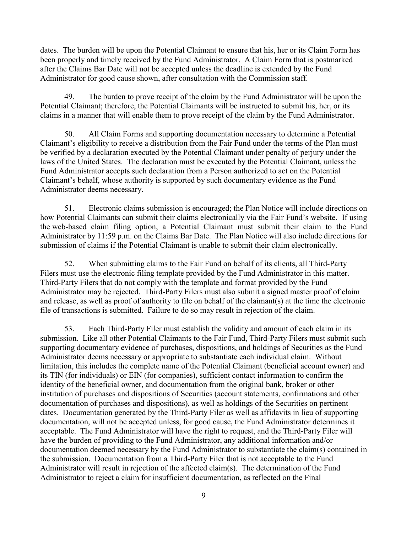dates. The burden will be upon the Potential Claimant to ensure that his, her or its Claim Form has been properly and timely received by the Fund Administrator. A Claim Form that is postmarked after the Claims Bar Date will not be accepted unless the deadline is extended by the Fund Administrator for good cause shown, after consultation with the Commission staff.

49. The burden to prove receipt of the claim by the Fund Administrator will be upon the Potential Claimant; therefore, the Potential Claimants will be instructed to submit his, her, or its claims in a manner that will enable them to prove receipt of the claim by the Fund Administrator.

50. All Claim Forms and supporting documentation necessary to determine a Potential Claimant's eligibility to receive a distribution from the Fair Fund under the terms of the Plan must be verified by a declaration executed by the Potential Claimant under penalty of perjury under the laws of the United States. The declaration must be executed by the Potential Claimant, unless the Fund Administrator accepts such declaration from a Person authorized to act on the Potential Claimant's behalf, whose authority is supported by such documentary evidence as the Fund Administrator deems necessary.

51. Electronic claims submission is encouraged; the Plan Notice will include directions on how Potential Claimants can submit their claims electronically via the Fair Fund's website. If using the web-based claim filing option, a Potential Claimant must submit their claim to the Fund Administrator by 11:59 p.m. on the Claims Bar Date. The Plan Notice will also include directions for submission of claims if the Potential Claimant is unable to submit their claim electronically.

52. When submitting claims to the Fair Fund on behalf of its clients, all Third-Party Filers must use the electronic filing template provided by the Fund Administrator in this matter. Third-Party Filers that do not comply with the template and format provided by the Fund Administrator may be rejected. Third-Party Filers must also submit a signed master proof of claim and release, as well as proof of authority to file on behalf of the claimant(s) at the time the electronic file of transactions is submitted. Failure to do so may result in rejection of the claim.

53. Each Third-Party Filer must establish the validity and amount of each claim in its submission. Like all other Potential Claimants to the Fair Fund, Third-Party Filers must submit such supporting documentary evidence of purchases, dispositions, and holdings of Securities as the Fund Administrator deems necessary or appropriate to substantiate each individual claim. Without limitation, this includes the complete name of the Potential Claimant (beneficial account owner) and its TIN (for individuals) or EIN (for companies), sufficient contact information to confirm the identity of the beneficial owner, and documentation from the original bank, broker or other institution of purchases and dispositions of Securities (account statements, confirmations and other documentation of purchases and dispositions), as well as holdings of the Securities on pertinent dates. Documentation generated by the Third-Party Filer as well as affidavits in lieu of supporting documentation, will not be accepted unless, for good cause, the Fund Administrator determines it acceptable. The Fund Administrator will have the right to request, and the Third-Party Filer will have the burden of providing to the Fund Administrator, any additional information and/or documentation deemed necessary by the Fund Administrator to substantiate the claim(s) contained in the submission. Documentation from a Third-Party Filer that is not acceptable to the Fund Administrator will result in rejection of the affected claim(s). The determination of the Fund Administrator to reject a claim for insufficient documentation, as reflected on the Final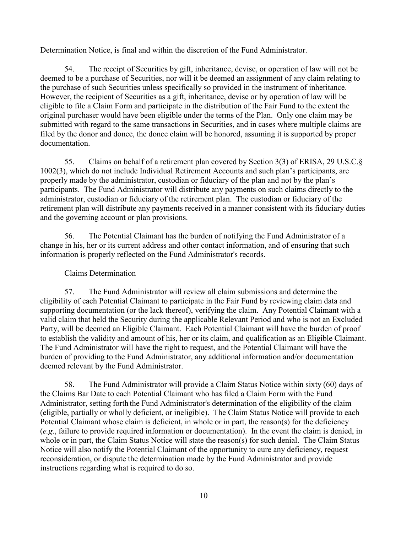Determination Notice, is final and within the discretion of the Fund Administrator.

54. The receipt of Securities by gift, inheritance, devise, or operation of law will not be deemed to be a purchase of Securities, nor will it be deemed an assignment of any claim relating to the purchase of such Securities unless specifically so provided in the instrument of inheritance. However, the recipient of Securities as a gift, inheritance, devise or by operation of law will be eligible to file a Claim Form and participate in the distribution of the Fair Fund to the extent the original purchaser would have been eligible under the terms of the Plan. Only one claim may be submitted with regard to the same transactions in Securities, and in cases where multiple claims are filed by the donor and donee, the donee claim will be honored, assuming it is supported by proper documentation.

55. Claims on behalf of a retirement plan covered by Section 3(3) of ERISA, 29 U.S.C.§ 1002(3), which do not include Individual Retirement Accounts and such plan's participants, are properly made by the administrator, custodian or fiduciary of the plan and not by the plan's participants. The Fund Administrator will distribute any payments on such claims directly to the administrator, custodian or fiduciary of the retirement plan. The custodian or fiduciary of the retirement plan will distribute any payments received in a manner consistent with its fiduciary duties and the governing account or plan provisions.

56. The Potential Claimant has the burden of notifying the Fund Administrator of a change in his, her or its current address and other contact information, and of ensuring that such information is properly reflected on the Fund Administrator's records.

## Claims Determination

57. The Fund Administrator will review all claim submissions and determine the eligibility of each Potential Claimant to participate in the Fair Fund by reviewing claim data and supporting documentation (or the lack thereof), verifying the claim. Any Potential Claimant with a valid claim that held the Security during the applicable Relevant Period and who is not an Excluded Party, will be deemed an Eligible Claimant. Each Potential Claimant will have the burden of proof to establish the validity and amount of his, her or its claim, and qualification as an Eligible Claimant. The Fund Administrator will have the right to request, and the Potential Claimant will have the burden of providing to the Fund Administrator, any additional information and/or documentation deemed relevant by the Fund Administrator.

58. The Fund Administrator will provide a Claim Status Notice within sixty (60) days of the Claims Bar Date to each Potential Claimant who has filed a Claim Form with the Fund Administrator, setting forth the Fund Administrator's determination of the eligibility of the claim (eligible, partially or wholly deficient, or ineligible). The Claim Status Notice will provide to each Potential Claimant whose claim is deficient, in whole or in part, the reason(s) for the deficiency (*e.g*., failure to provide required information or documentation). In the event the claim is denied, in whole or in part, the Claim Status Notice will state the reason(s) for such denial. The Claim Status Notice will also notify the Potential Claimant of the opportunity to cure any deficiency, request reconsideration, or dispute the determination made by the Fund Administrator and provide instructions regarding what is required to do so.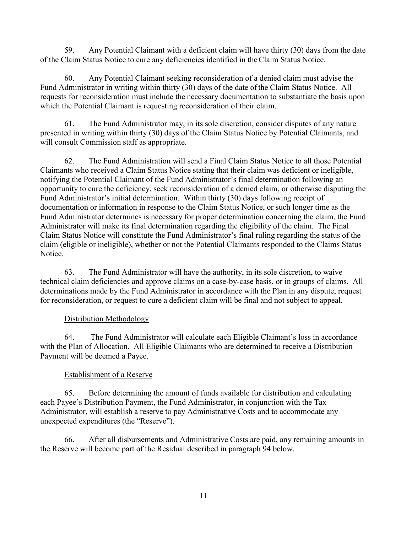59. Any Potential Claimant with a deficient claim will have thirty (30) days from the date of the Claim Status Notice to cure any deficiencies identified in theClaim Status Notice.

60. Any Potential Claimant seeking reconsideration of a denied claim must advise the Fund Administrator in writing within thirty (30) days of the date ofthe Claim Status Notice. All requests for reconsideration must include the necessary documentation to substantiate the basis upon which the Potential Claimant is requesting reconsideration of their claim.

61. The Fund Administrator may, in its sole discretion, consider disputes of any nature presented in writing within thirty (30) days of the Claim Status Notice by Potential Claimants, and will consult Commission staff as appropriate.

62. The Fund Administration will send a Final Claim Status Notice to all those Potential Claimants who received a Claim Status Notice stating that their claim was deficient or ineligible, notifying the Potential Claimant of the Fund Administrator's final determination following an opportunity to cure the deficiency, seek reconsideration of a denied claim, or otherwise disputing the Fund Administrator's initial determination. Within thirty (30) days following receipt of documentation or information in response to the Claim Status Notice, or such longer time as the Fund Administrator determines is necessary for proper determination concerning the claim, the Fund Administrator will make its final determination regarding the eligibility of the claim. The Final Claim Status Notice will constitute the Fund Administrator's final ruling regarding the status of the claim (eligible or ineligible), whether or not the Potential Claimants responded to the Claims Status Notice.

63. The Fund Administrator will have the authority, in its sole discretion, to waive technical claim deficiencies and approve claims on a case-by-case basis, or in groups of claims. All determinations made by the Fund Administrator in accordance with the Plan in any dispute, request for reconsideration, or request to cure a deficient claim will be final and not subject to appeal.

## Distribution Methodology

64. The Fund Administrator will calculate each Eligible Claimant's loss in accordance with the Plan of Allocation. All Eligible Claimants who are determined to receive a Distribution Payment will be deemed a Payee.

## Establishment of a Reserve

65. Before determining the amount of funds available for distribution and calculating each Payee's Distribution Payment, the Fund Administrator, in conjunction with the Tax Administrator, will establish a reserve to pay Administrative Costs and to accommodate any unexpected expenditures (the "Reserve").

66. After all disbursements and Administrative Costs are paid, any remaining amounts in the Reserve will become part of the Residual described in paragraph 94 below.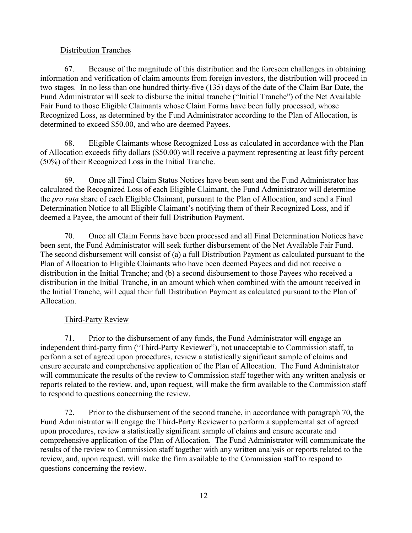## Distribution Tranches

67. Because of the magnitude of this distribution and the foreseen challenges in obtaining information and verification of claim amounts from foreign investors, the distribution will proceed in two stages. In no less than one hundred thirty-five (135) days of the date of the Claim Bar Date, the Fund Administrator will seek to disburse the initial tranche ("Initial Tranche") of the Net Available Fair Fund to those Eligible Claimants whose Claim Forms have been fully processed, whose Recognized Loss, as determined by the Fund Administrator according to the Plan of Allocation, is determined to exceed \$50.00, and who are deemed Payees.

68. Eligible Claimants whose Recognized Loss as calculated in accordance with the Plan of Allocation exceeds fifty dollars (\$50.00) will receive a payment representing at least fifty percent (50%) of their Recognized Loss in the Initial Tranche.

69. Once all Final Claim Status Notices have been sent and the Fund Administrator has calculated the Recognized Loss of each Eligible Claimant, the Fund Administrator will determine the *pro rata* share of each Eligible Claimant, pursuant to the Plan of Allocation, and send a Final Determination Notice to all Eligible Claimant's notifying them of their Recognized Loss, and if deemed a Payee, the amount of their full Distribution Payment.

70. Once all Claim Forms have been processed and all Final Determination Notices have been sent, the Fund Administrator will seek further disbursement of the Net Available Fair Fund. The second disbursement will consist of (a) a full Distribution Payment as calculated pursuant to the Plan of Allocation to Eligible Claimants who have been deemed Payees and did not receive a distribution in the Initial Tranche; and (b) a second disbursement to those Payees who received a distribution in the Initial Tranche, in an amount which when combined with the amount received in the Initial Tranche, will equal their full Distribution Payment as calculated pursuant to the Plan of Allocation.

# Third-Party Review

71. Prior to the disbursement of any funds, the Fund Administrator will engage an independent third-party firm ("Third-Party Reviewer"), not unacceptable to Commission staff, to perform a set of agreed upon procedures, review a statistically significant sample of claims and ensure accurate and comprehensive application of the Plan of Allocation. The Fund Administrator will communicate the results of the review to Commission staff together with any written analysis or reports related to the review, and, upon request, will make the firm available to the Commission staff to respond to questions concerning the review.

72. Prior to the disbursement of the second tranche, in accordance with paragraph 70, the Fund Administrator will engage the Third-Party Reviewer to perform a supplemental set of agreed upon procedures, review a statistically significant sample of claims and ensure accurate and comprehensive application of the Plan of Allocation. The Fund Administrator will communicate the results of the review to Commission staff together with any written analysis or reports related to the review, and, upon request, will make the firm available to the Commission staff to respond to questions concerning the review.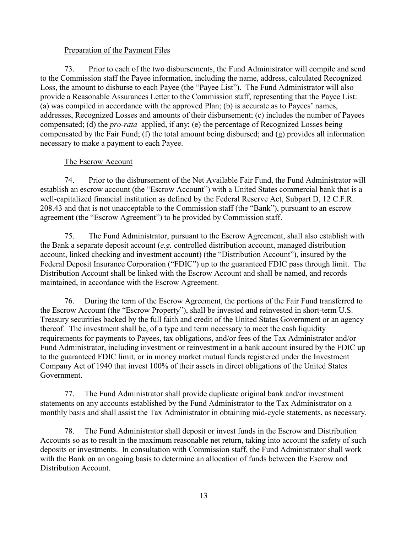#### Preparation of the Payment Files

73. Prior to each of the two disbursements, the Fund Administrator will compile and send to the Commission staff the Payee information, including the name, address, calculated Recognized Loss, the amount to disburse to each Payee (the "Payee List"). The Fund Administrator will also provide a Reasonable Assurances Letter to the Commission staff, representing that the Payee List: (a) was compiled in accordance with the approved Plan; (b) is accurate as to Payees' names, addresses, Recognized Losses and amounts of their disbursement; (c) includes the number of Payees compensated; (d) the *pro-rata* applied, if any; (e) the percentage of Recognized Losses being compensated by the Fair Fund; (f) the total amount being disbursed; and (g) provides all information necessary to make a payment to each Payee.

## The Escrow Account

74. Prior to the disbursement of the Net Available Fair Fund, the Fund Administrator will establish an escrow account (the "Escrow Account") with a United States commercial bank that is a well-capitalized financial institution as defined by the Federal Reserve Act, Subpart D, 12 C.F.R. 208.43 and that is not unacceptable to the Commission staff (the "Bank"), pursuant to an escrow agreement (the "Escrow Agreement") to be provided by Commission staff.

75. The Fund Administrator, pursuant to the Escrow Agreement, shall also establish with the Bank a separate deposit account (*e.g.* controlled distribution account, managed distribution account, linked checking and investment account) (the "Distribution Account"), insured by the Federal Deposit Insurance Corporation ("FDIC") up to the guaranteed FDIC pass through limit. The Distribution Account shall be linked with the Escrow Account and shall be named, and records maintained, in accordance with the Escrow Agreement.

76. During the term of the Escrow Agreement, the portions of the Fair Fund transferred to the Escrow Account (the "Escrow Property"), shall be invested and reinvested in short-term U.S. Treasury securities backed by the full faith and credit of the United States Government or an agency thereof. The investment shall be, of a type and term necessary to meet the cash liquidity requirements for payments to Payees, tax obligations, and/or fees of the Tax Administrator and/or Fund Administrator, including investment or reinvestment in a bank account insured by the FDIC up to the guaranteed FDIC limit, or in money market mutual funds registered under the Investment Company Act of 1940 that invest 100% of their assets in direct obligations of the United States Government.

77. The Fund Administrator shall provide duplicate original bank and/or investment statements on any accounts established by the Fund Administrator to the Tax Administrator on a monthly basis and shall assist the Tax Administrator in obtaining mid-cycle statements, as necessary.

78. The Fund Administrator shall deposit or invest funds in the Escrow and Distribution Accounts so as to result in the maximum reasonable net return, taking into account the safety of such deposits or investments. In consultation with Commission staff, the Fund Administrator shall work with the Bank on an ongoing basis to determine an allocation of funds between the Escrow and Distribution Account.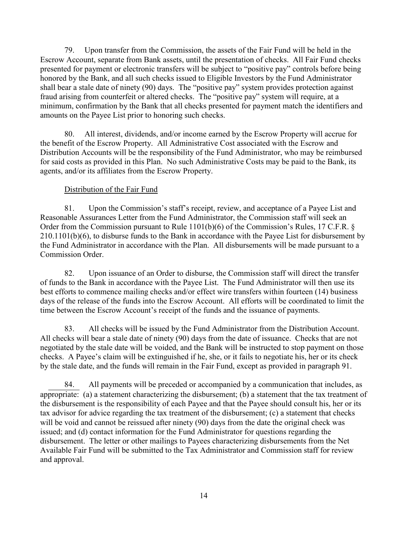79. Upon transfer from the Commission, the assets of the Fair Fund will be held in the Escrow Account, separate from Bank assets, until the presentation of checks. All Fair Fund checks presented for payment or electronic transfers will be subject to "positive pay" controls before being honored by the Bank, and all such checks issued to Eligible Investors by the Fund Administrator shall bear a stale date of ninety (90) days. The "positive pay" system provides protection against fraud arising from counterfeit or altered checks. The "positive pay" system will require, at a minimum, confirmation by the Bank that all checks presented for payment match the identifiers and amounts on the Payee List prior to honoring such checks.

80. All interest, dividends, and/or income earned by the Escrow Property will accrue for the benefit of the Escrow Property. All Administrative Cost associated with the Escrow and Distribution Accounts will be the responsibility of the Fund Administrator, who may be reimbursed for said costs as provided in this Plan. No such Administrative Costs may be paid to the Bank, its agents, and/or its affiliates from the Escrow Property.

## Distribution of the Fair Fund

81. Upon the Commission's staff's receipt, review, and acceptance of a Payee List and Reasonable Assurances Letter from the Fund Administrator, the Commission staff will seek an Order from the Commission pursuant to Rule 1101(b)(6) of the Commission's Rules, 17 C.F.R. § 210.1101(b)(6), to disburse funds to the Bank in accordance with the Payee List for disbursement by the Fund Administrator in accordance with the Plan. All disbursements will be made pursuant to a Commission Order.

82. Upon issuance of an Order to disburse, the Commission staff will direct the transfer of funds to the Bank in accordance with the Payee List. The Fund Administrator will then use its best efforts to commence mailing checks and/or effect wire transfers within fourteen (14) business days of the release of the funds into the Escrow Account. All efforts will be coordinated to limit the time between the Escrow Account's receipt of the funds and the issuance of payments.

83. All checks will be issued by the Fund Administrator from the Distribution Account. All checks will bear a stale date of ninety (90) days from the date of issuance. Checks that are not negotiated by the stale date will be voided, and the Bank will be instructed to stop payment on those checks. A Payee's claim will be extinguished if he, she, or it fails to negotiate his, her or its check by the stale date, and the funds will remain in the Fair Fund, except as provided in paragraph 91.

84. All payments will be preceded or accompanied by a communication that includes, as appropriate: (a) a statement characterizing the disbursement; (b) a statement that the tax treatment of the disbursement is the responsibility of each Payee and that the Payee should consult his, her or its tax advisor for advice regarding the tax treatment of the disbursement; (c) a statement that checks will be void and cannot be reissued after ninety (90) days from the date the original check was issued; and (d) contact information for the Fund Administrator for questions regarding the disbursement. The letter or other mailings to Payees characterizing disbursements from the Net Available Fair Fund will be submitted to the Tax Administrator and Commission staff for review and approval.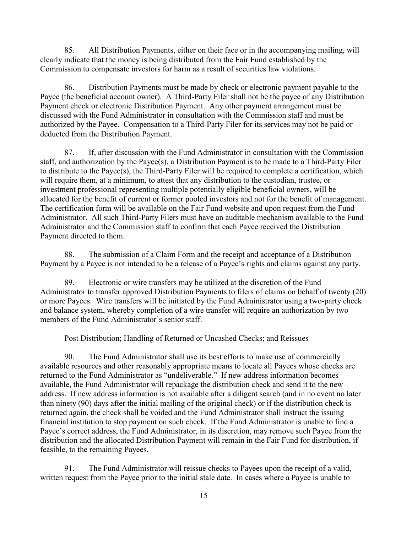85. All Distribution Payments, either on their face or in the accompanying mailing, will clearly indicate that the money is being distributed from the Fair Fund established by the Commission to compensate investors for harm as a result of securities law violations.

86. Distribution Payments must be made by check or electronic payment payable to the Payee (the beneficial account owner). A Third-Party Filer shall not be the payee of any Distribution Payment check or electronic Distribution Payment. Any other payment arrangement must be discussed with the Fund Administrator in consultation with the Commission staff and must be authorized by the Payee. Compensation to a Third-Party Filer for its services may not be paid or deducted from the Distribution Payment.

87. If, after discussion with the Fund Administrator in consultation with the Commission staff, and authorization by the Payee(s), a Distribution Payment is to be made to a Third-Party Filer to distribute to the Payee(s), the Third-Party Filer will be required to complete a certification, which will require them, at a minimum, to attest that any distribution to the custodian, trustee, or investment professional representing multiple potentially eligible beneficial owners, will be allocated for the benefit of current or former pooled investors and not for the benefit of management. The certification form will be available on the Fair Fund website and upon request from the Fund Administrator. All such Third-Party Filers must have an auditable mechanism available to the Fund Administrator and the Commission staff to confirm that each Payee received the Distribution Payment directed to them.

88. The submission of a Claim Form and the receipt and acceptance of a Distribution Payment by a Payee is not intended to be a release of a Payee's rights and claims against any party.

89. Electronic or wire transfers may be utilized at the discretion of the Fund Administrator to transfer approved Distribution Payments to filers of claims on behalf of twenty (20) or more Payees. Wire transfers will be initiated by the Fund Administrator using a two-party check and balance system, whereby completion of a wire transfer will require an authorization by two members of the Fund Administrator's senior staff.

#### Post Distribution; Handling of Returned or Uncashed Checks; and Reissues

90. The Fund Administrator shall use its best efforts to make use of commercially available resources and other reasonably appropriate means to locate all Payees whose checks are returned to the Fund Administrator as "undeliverable." If new address information becomes available, the Fund Administrator will repackage the distribution check and send it to the new address. If new address information is not available after a diligent search (and in no event no later than ninety (90) days after the initial mailing of the original check) or if the distribution check is returned again, the check shall be voided and the Fund Administrator shall instruct the issuing financial institution to stop payment on such check. If the Fund Administrator is unable to find a Payee's correct address, the Fund Administrator, in its discretion, may remove such Payee from the distribution and the allocated Distribution Payment will remain in the Fair Fund for distribution, if feasible, to the remaining Payees.

91. The Fund Administrator will reissue checks to Payees upon the receipt of a valid, written request from the Payee prior to the initial stale date. In cases where a Payee is unable to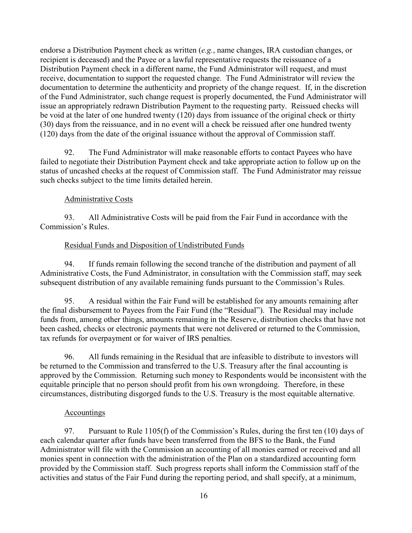endorse a Distribution Payment check as written (*e.g.*, name changes, IRA custodian changes, or recipient is deceased) and the Payee or a lawful representative requests the reissuance of a Distribution Payment check in a different name, the Fund Administrator will request, and must receive, documentation to support the requested change. The Fund Administrator will review the documentation to determine the authenticity and propriety of the change request. If, in the discretion of the Fund Administrator, such change request is properly documented, the Fund Administrator will issue an appropriately redrawn Distribution Payment to the requesting party. Reissued checks will be void at the later of one hundred twenty (120) days from issuance of the original check or thirty (30) days from the reissuance, and in no event will a check be reissued after one hundred twenty (120) days from the date of the original issuance without the approval of Commission staff.

92. The Fund Administrator will make reasonable efforts to contact Payees who have failed to negotiate their Distribution Payment check and take appropriate action to follow up on the status of uncashed checks at the request of Commission staff. The Fund Administrator may reissue such checks subject to the time limits detailed herein.

### Administrative Costs

93. All Administrative Costs will be paid from the Fair Fund in accordance with the Commission's Rules.

#### Residual Funds and Disposition of Undistributed Funds

94. If funds remain following the second tranche of the distribution and payment of all Administrative Costs, the Fund Administrator, in consultation with the Commission staff, may seek subsequent distribution of any available remaining funds pursuant to the Commission's Rules.

95. A residual within the Fair Fund will be established for any amounts remaining after the final disbursement to Payees from the Fair Fund (the "Residual"). The Residual may include funds from, among other things, amounts remaining in the Reserve, distribution checks that have not been cashed, checks or electronic payments that were not delivered or returned to the Commission, tax refunds for overpayment or for waiver of IRS penalties.

96. All funds remaining in the Residual that are infeasible to distribute to investors will be returned to the Commission and transferred to the U.S. Treasury after the final accounting is approved by the Commission. Returning such money to Respondents would be inconsistent with the equitable principle that no person should profit from his own wrongdoing. Therefore, in these circumstances, distributing disgorged funds to the U.S. Treasury is the most equitable alternative.

#### Accountings

97. Pursuant to Rule 1105(f) of the Commission's Rules, during the first ten (10) days of each calendar quarter after funds have been transferred from the BFS to the Bank, the Fund Administrator will file with the Commission an accounting of all monies earned or received and all monies spent in connection with the administration of the Plan on a standardized accounting form provided by the Commission staff. Such progress reports shall inform the Commission staff of the activities and status of the Fair Fund during the reporting period, and shall specify, at a minimum,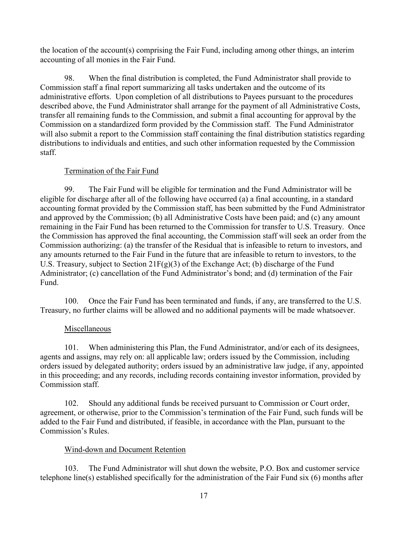the location of the account(s) comprising the Fair Fund, including among other things, an interim accounting of all monies in the Fair Fund.

98. When the final distribution is completed, the Fund Administrator shall provide to Commission staff a final report summarizing all tasks undertaken and the outcome of its administrative efforts. Upon completion of all distributions to Payees pursuant to the procedures described above, the Fund Administrator shall arrange for the payment of all Administrative Costs, transfer all remaining funds to the Commission, and submit a final accounting for approval by the Commission on a standardized form provided by the Commission staff. The Fund Administrator will also submit a report to the Commission staff containing the final distribution statistics regarding distributions to individuals and entities, and such other information requested by the Commission staff.

### Termination of the Fair Fund

99. The Fair Fund will be eligible for termination and the Fund Administrator will be eligible for discharge after all of the following have occurred (a) a final accounting, in a standard accounting format provided by the Commission staff, has been submitted by the Fund Administrator and approved by the Commission; (b) all Administrative Costs have been paid; and (c) any amount remaining in the Fair Fund has been returned to the Commission for transfer to U.S. Treasury. Once the Commission has approved the final accounting, the Commission staff will seek an order from the Commission authorizing: (a) the transfer of the Residual that is infeasible to return to investors, and any amounts returned to the Fair Fund in the future that are infeasible to return to investors, to the U.S. Treasury, subject to Section  $21F(g)(3)$  of the Exchange Act; (b) discharge of the Fund Administrator; (c) cancellation of the Fund Administrator's bond; and (d) termination of the Fair Fund.

100. Once the Fair Fund has been terminated and funds, if any, are transferred to the U.S. Treasury, no further claims will be allowed and no additional payments will be made whatsoever.

#### Miscellaneous

101. When administering this Plan, the Fund Administrator, and/or each of its designees, agents and assigns, may rely on: all applicable law; orders issued by the Commission, including orders issued by delegated authority; orders issued by an administrative law judge, if any, appointed in this proceeding; and any records, including records containing investor information, provided by Commission staff.

102. Should any additional funds be received pursuant to Commission or Court order, agreement, or otherwise, prior to the Commission's termination of the Fair Fund, such funds will be added to the Fair Fund and distributed, if feasible, in accordance with the Plan, pursuant to the Commission's Rules.

#### Wind-down and Document Retention

103. The Fund Administrator will shut down the website, P.O. Box and customer service telephone line(s) established specifically for the administration of the Fair Fund six (6) months after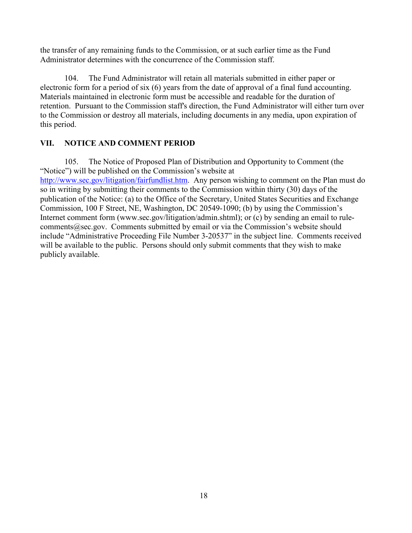the transfer of any remaining funds to the Commission, or at such earlier time as the Fund Administrator determines with the concurrence of the Commission staff.

104. The Fund Administrator will retain all materials submitted in either paper or electronic form for a period of six (6) years from the date of approval of a final fund accounting. Materials maintained in electronic form must be accessible and readable for the duration of retention. Pursuant to the Commission staff's direction, the Fund Administrator will either turn over to the Commission or destroy all materials, including documents in any media, upon expiration of this period.

## **VII. NOTICE AND COMMENT PERIOD**

105. The Notice of Proposed Plan of Distribution and Opportunity to Comment (the "Notice") will be published on the Commission's website at [http://www.sec.gov/litigation/fairfundlist.htm.](http://www.sec.gov/litigation/fairfundlist.htm) Any person wishing to comment on the Plan must do so in writing by submitting their comments to the Commission within thirty (30) days of the publication of the Notice: (a) to the Office of the Secretary, United States Securities and Exchange Commission, 100 F Street, NE, Washington, DC 20549-1090; (b) by using the Commission's Internet comment form (www.sec.gov/litigation/admin.shtml); or (c) by sending an email to rulecomments@sec.gov. Comments submitted by email or via the Commission's website should include "Administrative Proceeding File Number 3-20537" in the subject line. Comments received will be available to the public. Persons should only submit comments that they wish to make publicly available.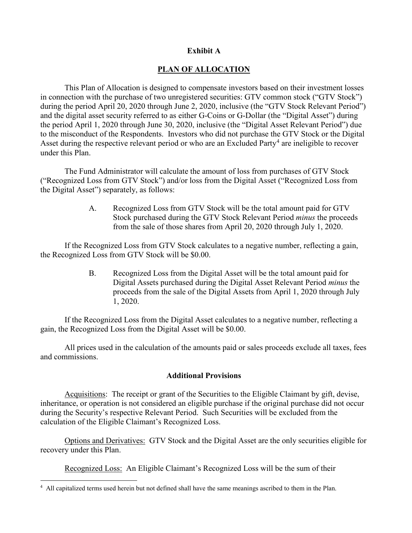#### **Exhibit A**

#### **PLAN OF ALLOCATION**

This Plan of Allocation is designed to compensate investors based on their investment losses in connection with the purchase of two unregistered securities: GTV common stock ("GTV Stock") during the period April 20, 2020 through June 2, 2020, inclusive (the "GTV Stock Relevant Period") and the digital asset security referred to as either G-Coins or G-Dollar (the "Digital Asset") during the period April 1, 2020 through June 30, 2020, inclusive (the "Digital Asset Relevant Period") due to the misconduct of the Respondents. Investors who did not purchase the GTV Stock or the Digital Asset during the respective relevant period or who are an Excluded Party<sup>[4](#page-18-0)</sup> are ineligible to recover under this Plan.

The Fund Administrator will calculate the amount of loss from purchases of GTV Stock ("Recognized Loss from GTV Stock") and/or loss from the Digital Asset ("Recognized Loss from the Digital Asset") separately, as follows:

> A. Recognized Loss from GTV Stock will be the total amount paid for GTV Stock purchased during the GTV Stock Relevant Period *minus* the proceeds from the sale of those shares from April 20, 2020 through July 1, 2020.

If the Recognized Loss from GTV Stock calculates to a negative number, reflecting a gain, the Recognized Loss from GTV Stock will be \$0.00.

> B. Recognized Loss from the Digital Asset will be the total amount paid for Digital Assets purchased during the Digital Asset Relevant Period *minus* the proceeds from the sale of the Digital Assets from April 1, 2020 through July 1, 2020.

If the Recognized Loss from the Digital Asset calculates to a negative number, reflecting a gain, the Recognized Loss from the Digital Asset will be \$0.00.

All prices used in the calculation of the amounts paid or sales proceeds exclude all taxes, fees and commissions.

#### **Additional Provisions**

Acquisitions: The receipt or grant of the Securities to the Eligible Claimant by gift, devise, inheritance, or operation is not considered an eligible purchase if the original purchase did not occur during the Security's respective Relevant Period. Such Securities will be excluded from the calculation of the Eligible Claimant's Recognized Loss.

Options and Derivatives: GTV Stock and the Digital Asset are the only securities eligible for recovery under this Plan.

Recognized Loss: An Eligible Claimant's Recognized Loss will be the sum of their

<span id="page-18-0"></span> $\frac{1}{4}$ All capitalized terms used herein but not defined shall have the same meanings ascribed to them in the Plan.